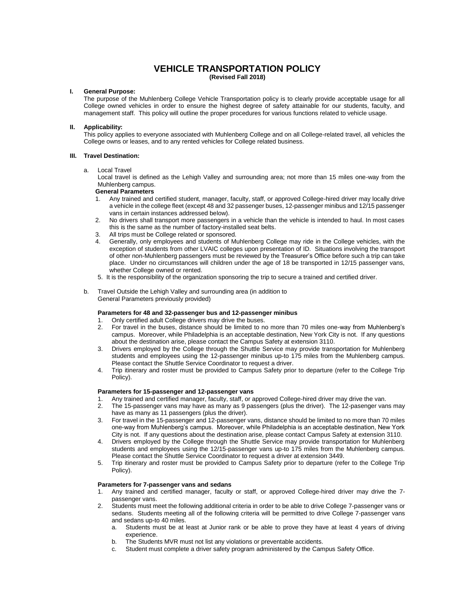# **VEHICLE TRANSPORTATION POLICY (Revised Fall 2018)**

#### **I. General Purpose:**

The purpose of the Muhlenberg College Vehicle Transportation policy is to clearly provide acceptable usage for all College owned vehicles in order to ensure the highest degree of safety attainable for our students, faculty, and management staff. This policy will outline the proper procedures for various functions related to vehicle usage.

#### **II. Applicability:**

This policy applies to everyone associated with Muhlenberg College and on all College-related travel, all vehicles the College owns or leases, and to any rented vehicles for College related business.

#### **III. Travel Destination:**

#### a. Local Travel

Local travel is defined as the Lehigh Valley and surrounding area; not more than 15 miles one-way from the Muhlenberg campus.

#### **General Parameters**

- 1. Any trained and certified student, manager, faculty, staff, or approved College-hired driver may locally drive a vehicle in the college fleet (except 48 and 32 passenger buses, 12-passenger minibus and 12/15 passenger vans in certain instances addressed below).
- 2. No drivers shall transport more passengers in a vehicle than the vehicle is intended to haul. In most cases this is the same as the number of factory-installed seat belts.
- 3. All trips must be College related or sponsored.
- 4. Generally, only employees and students of Muhlenberg College may ride in the College vehicles, with the exception of students from other LVAIC colleges upon presentation of ID. Situations involving the transport of other non-Muhlenberg passengers must be reviewed by the Treasurer's Office before such a trip can take place. Under no circumstances will children under the age of 18 be transported in 12/15 passenger vans, whether College owned or rented.
- 5. It is the responsibility of the organization sponsoring the trip to secure a trained and certified driver.
- b. Travel Outside the Lehigh Valley and surrounding area (in addition to General Parameters previously provided)

# **Parameters for 48 and 32-passenger bus and 12-passenger minibus**

- 1. Only certified adult College drivers may drive the buses.
- 2. For travel in the buses, distance should be limited to no more than 70 miles one-way from Muhlenberg's campus. Moreover, while Philadelphia is an acceptable destination, New York City is not. If any questions about the destination arise, please contact the Campus Safety at extension 3110.
- 3. Drivers employed by the College through the Shuttle Service may provide transportation for Muhlenberg students and employees using the 12-passenger minibus up-to 175 miles from the Muhlenberg campus. Please contact the Shuttle Service Coordinator to request a driver.
- 4. Trip itinerary and roster must be provided to Campus Safety prior to departure (refer to the College Trip Policy).

#### **Parameters for 15-passenger and 12-passenger vans**

- 1. Any trained and certified manager, faculty, staff, or approved College-hired driver may drive the van.
- 2. The 15-passenger vans may have as many as 9 passengers (plus the driver). The 12-pasenger vans may have as many as 11 passengers (plus the driver).
- 3. For travel in the 15-passenger and 12-passenger vans, distance should be limited to no more than 70 miles one-way from Muhlenberg's campus. Moreover, while Philadelphia is an acceptable destination, New York City is not. If any questions about the destination arise, please contact Campus Safety at extension 3110.
- 4. Drivers employed by the College through the Shuttle Service may provide transportation for Muhlenberg students and employees using the 12/15-passenger vans up-to 175 miles from the Muhlenberg campus. Please contact the Shuttle Service Coordinator to request a driver at extension 3449.
- 5. Trip itinerary and roster must be provided to Campus Safety prior to departure (refer to the College Trip Policy).

#### **Parameters for 7-passenger vans and sedans**

- Any trained and certified manager, faculty or staff, or approved College-hired driver may drive the 7passenger vans.
- 2. Students must meet the following additional criteria in order to be able to drive College 7-passenger vans or sedans. Students meeting all of the following criteria will be permitted to drive College 7-passenger vans and sedans up-to 40 miles.
	- a. Students must be at least at Junior rank or be able to prove they have at least 4 years of driving experience.
	- b. The Students MVR must not list any violations or preventable accidents.
	- c. Student must complete a driver safety program administered by the Campus Safety Office.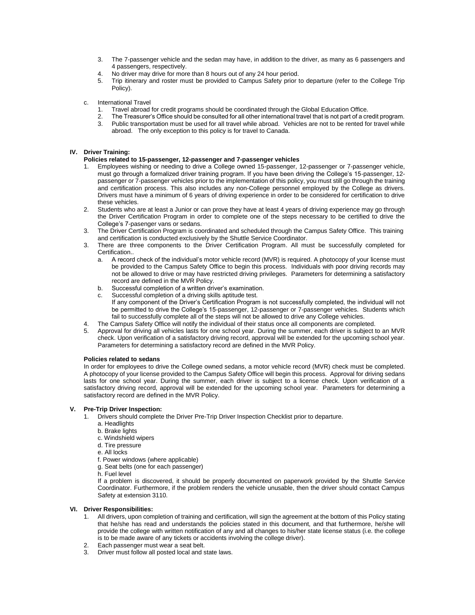- 3. The 7-passenger vehicle and the sedan may have, in addition to the driver, as many as 6 passengers and 4 passengers, respectively.
- 4. No driver may drive for more than 8 hours out of any 24 hour period.
- 5. Trip itinerary and roster must be provided to Campus Safety prior to departure (refer to the College Trip Policy).
- c. International Travel
	- Travel abroad for credit programs should be coordinated through the Global Education Office.
	- 2. The Treasurer's Office should be consulted for all other international travel that is not part of a credit program.<br>3. Public transportation must be used for all travel while abroad. Vehicles are not to be rented for tr Public transportation must be used for all travel while abroad. Vehicles are not to be rented for travel while abroad. The only exception to this policy is for travel to Canada.

# **IV. Driver Training:**

# **Policies related to 15-passenger, 12-passenger and 7-passenger vehicles**

- 1. Employees wishing or needing to drive a College owned 15-passenger, 12-passenger or 7-passenger vehicle, must go through a formalized driver training program. If you have been driving the College's 15-passenger, 12 passenger or 7-passenger vehicles prior to the implementation of this policy, you must still go through the training and certification process. This also includes any non-College personnel employed by the College as drivers. Drivers must have a minimum of 6 years of driving experience in order to be considered for certification to drive these vehicles.
- 2. Students who are at least a Junior or can prove they have at least 4 years of driving experience may go through the Driver Certification Program in order to complete one of the steps necessary to be certified to drive the College's 7-pasenger vans or sedans.
- 3. The Driver Certification Program is coordinated and scheduled through the Campus Safety Office. This training and certification is conducted exclusively by the Shuttle Service Coordinator.
- 3. There are three components to the Driver Certification Program. All must be successfully completed for Certification..
	- a. A record check of the individual's motor vehicle record (MVR) is required. A photocopy of your license must be provided to the Campus Safety Office to begin this process. Individuals with poor driving records may not be allowed to drive or may have restricted driving privileges. Parameters for determining a satisfactory record are defined in the MVR Policy.
	- b. Successful completion of a written driver's examination.
	- c. Successful completion of a driving skills aptitude test.
	- If any component of the Driver's Certification Program is not successfully completed, the individual will not be permitted to drive the College's 15-passenger, 12-passenger or 7-passenger vehicles. Students which fail to successfully complete all of the steps will not be allowed to drive any College vehicles.
- 4. The Campus Safety Office will notify the individual of their status once all components are completed.<br>5. Approval for driving all vehicles lasts for one school vear. During the summer, each driver is subject t
- 5. Approval for driving all vehicles lasts for one school year. During the summer, each driver is subject to an MVR check. Upon verification of a satisfactory driving record, approval will be extended for the upcoming school year. Parameters for determining a satisfactory record are defined in the MVR Policy.

# **Policies related to sedans**

In order for employees to drive the College owned sedans, a motor vehicle record (MVR) check must be completed. A photocopy of your license provided to the Campus Safety Office will begin this process. Approval for driving sedans lasts for one school year. During the summer, each driver is subject to a license check. Upon verification of a satisfactory driving record, approval will be extended for the upcoming school year. Parameters for determining a satisfactory record are defined in the MVR Policy.

# **V. Pre-Trip Driver Inspection:**

- 1. Drivers should complete the Driver Pre-Trip Driver Inspection Checklist prior to departure.
	- a. Headlights
	- b. Brake lights
	- c. Windshield wipers
	- d. Tire pressure
	- e. All locks
	- f. Power windows (where applicable)
	- g. Seat belts (one for each passenger)
	- h. Fuel level

If a problem is discovered, it should be properly documented on paperwork provided by the Shuttle Service Coordinator. Furthermore, if the problem renders the vehicle unusable, then the driver should contact Campus Safety at extension 3110.

# **VI. Driver Responsibilities:**

- 1. All drivers, upon completion of training and certification, will sign the agreement at the bottom of this Policy stating that he/she has read and understands the policies stated in this document, and that furthermore, he/she will provide the college with written notification of any and all changes to his/her state license status (i.e. the college is to be made aware of any tickets or accidents involving the college driver).
- 2. Each passenger must wear a seat belt.
- 3. Driver must follow all posted local and state laws.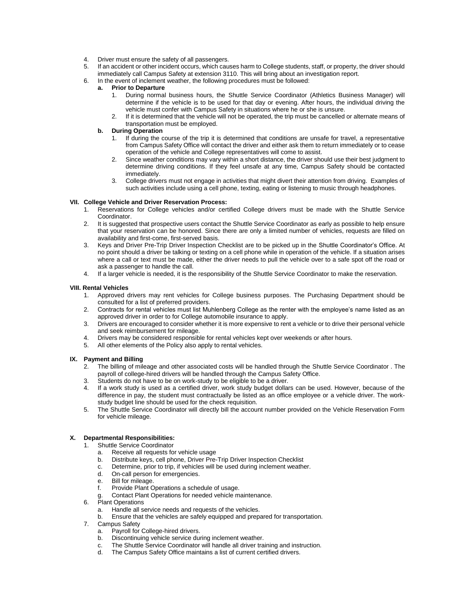- 4. Driver must ensure the safety of all passengers.
- 5. If an accident or other incident occurs, which causes harm to College students, staff, or property, the driver should immediately call Campus Safety at extension 3110. This will bring about an investigation report.
- 6. In the event of inclement weather, the following procedures must be followed:

# **a. Prior to Departure**

- 1. During normal business hours, the Shuttle Service Coordinator (Athletics Business Manager) will determine if the vehicle is to be used for that day or evening. After hours, the individual driving the vehicle must confer with Campus Safety in situations where he or she is unsure.
- 2. If it is determined that the vehicle will not be operated, the trip must be cancelled or alternate means of transportation must be employed.

## **b. During Operation**

- 1. If during the course of the trip it is determined that conditions are unsafe for travel, a representative from Campus Safety Office will contact the driver and either ask them to return immediately or to cease operation of the vehicle and College representatives will come to assist.
- 2. Since weather conditions may vary within a short distance, the driver should use their best judgment to determine driving conditions. If they feel unsafe at any time, Campus Safety should be contacted immediately.
- 3. College drivers must not engage in activities that might divert their attention from driving. Examples of such activities include using a cell phone, texting, eating or listening to music through headphones.

#### **VII. College Vehicle and Driver Reservation Process:**

- 1. Reservations for College vehicles and/or certified College drivers must be made with the Shuttle Service Coordinator.
- 2. It is suggested that prospective users contact the Shuttle Service Coordinator as early as possible to help ensure that your reservation can be honored. Since there are only a limited number of vehicles, requests are filled on availability and first-come, first-served basis.
- 3. Keys and Driver Pre-Trip Driver Inspection Checklist are to be picked up in the Shuttle Coordinator's Office. At no point should a driver be talking or texting on a cell phone while in operation of the vehicle. If a situation arises where a call or text must be made, either the driver needs to pull the vehicle over to a safe spot off the road or ask a passenger to handle the call.
- 4. If a larger vehicle is needed, it is the responsibility of the Shuttle Service Coordinator to make the reservation.

#### **VIII. Rental Vehicles**

- 1. Approved drivers may rent vehicles for College business purposes. The Purchasing Department should be consulted for a list of preferred providers.
- 2. Contracts for rental vehicles must list Muhlenberg College as the renter with the employee's name listed as an approved driver in order to for College automobile insurance to apply.
- 3. Drivers are encouraged to consider whether it is more expensive to rent a vehicle or to drive their personal vehicle and seek reimbursement for mileage.
- 4. Drivers may be considered responsible for rental vehicles kept over weekends or after hours.
- 5. All other elements of the Policy also apply to rental vehicles.

# **IX. Payment and Billing**

- 2. The billing of mileage and other associated costs will be handled through the Shuttle Service Coordinator . The payroll of college-hired drivers will be handled through the Campus Safety Office.
- 3. Students do not have to be on work-study to be eligible to be a driver.
- 4. If a work study is used as a certified driver, work study budget dollars can be used. However, because of the difference in pay, the student must contractually be listed as an office employee or a vehicle driver. The workstudy budget line should be used for the check requisition.
- 5. The Shuttle Service Coordinator will directly bill the account number provided on the Vehicle Reservation Form for vehicle mileage.

# **X. Departmental Responsibilities:**

- 1. Shuttle Service Coordinator
	- a. Receive all requests for vehicle usage
	- b. Distribute keys, cell phone, Driver Pre-Trip Driver Inspection Checklist
	- c. Determine, prior to trip, if vehicles will be used during inclement weather.<br>d. On-call person for emergencies
	- On-call person for emergencies.
	- e. Bill for mileage.
	- f. Provide Plant Operations a schedule of usage.
	- Contact Plant Operations for needed vehicle maintenance.
- 6. Plant Operations
	- a. Handle all service needs and requests of the vehicles.
	- b. Ensure that the vehicles are safely equipped and prepared for transportation.
- 7. Campus Safety
	- a. Payroll for College-hired drivers.<br>b. Discontinuing vehicle service dur
	- b. Discontinuing vehicle service during inclement weather.
	- c. The Shuttle Service Coordinator will handle all driver training and instruction.<br>d. The Campus Safety Office maintains a list of current certified drivers.
	- The Campus Safety Office maintains a list of current certified drivers.